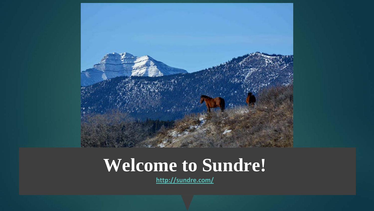

#### **Welcome to Sundre!**

**<http://sundre.com/>**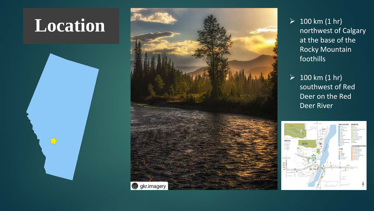## **Location**





 $> 100$  km (1 hr) northwest of Calgary at the base of the Rocky Mountain foothills

 $> 100$  km (1 hr) southwest of Red Deer on the Red Deer River

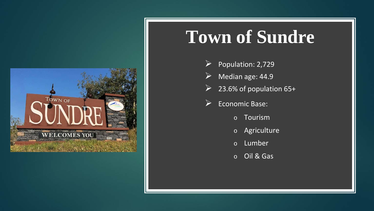

#### **Town of Sundre**

- $\triangleright$  Population: 2,729
- A Median age: 44.9
- $\geq$  23.6% of population 65+
- **Economic Base:** 
	- o Tourism
	- o Agriculture
	- o Lumber
	- o Oil & Gas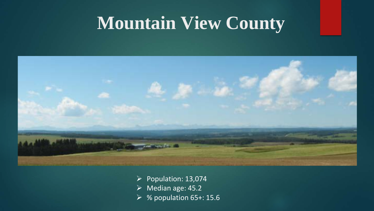## **Mountain View County**



 $\triangleright$  Population: 13,074  $\triangleright$  Median age: 45.2  $\triangleright$  % population 65+: 15.6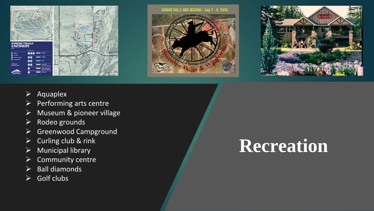





- $\triangleright$  Aquaplex
- $\triangleright$  Performing arts centre
- Museum & pioneer village
- $\triangleright$  Rodeo grounds
- $\triangleright$  Greenwood Campground
- $\triangleright$  Curling club & rink
- $\triangleright$  Municipal library
- $\triangleright$  Community centre
- $\triangleright$  Ball diamonds
- $\triangleright$  Golf clubs

## **Recreation**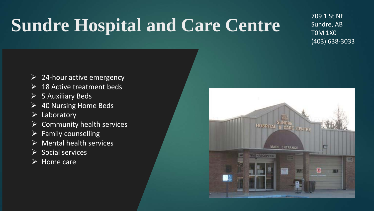# **Sundre Hospital and Care Centre**

709 1 St NE Sundre, AB T0M 1X0 (403) 638-3033

- $\triangleright$  24-hour active emergency
- $\triangleright$  18 Active treatment beds
- $\triangleright$  5 Auxiliary Beds
- $\triangleright$  40 Nursing Home Beds
- $\triangleright$  Laboratory
- Community health services
- $\triangleright$  Family counselling
- $\triangleright$  Mental health services
- $\triangleright$  Social services
- $\triangleright$  Home care